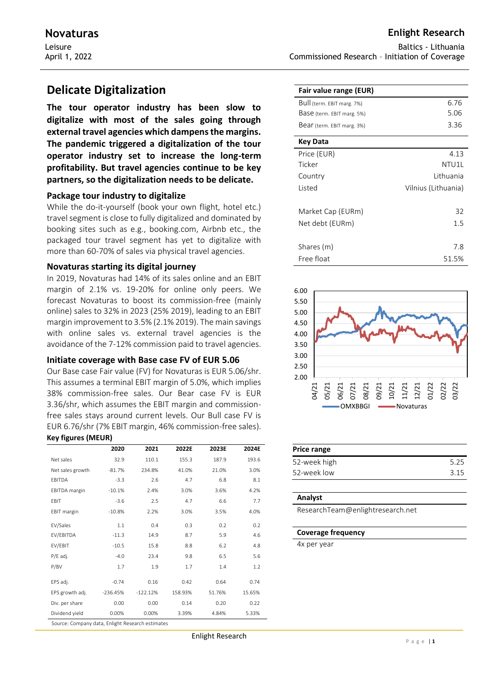# **Delicate Digitalization**

**The tour operator industry has been slow to digitalize with most of the sales going through external travel agencies which dampens the margins. The pandemic triggered a digitalization of the tour operator industry set to increase the long-term profitability. But travel agencies continue to be key partners, so the digitalization needs to be delicate.**

## **Package tour industry to digitalize**

While the do-it-yourself (book your own flight, hotel etc.) travel segment is close to fully digitalized and dominated by booking sites such as e.g., booking.com, Airbnb etc., the packaged tour travel segment has yet to digitalize with more than 60-70% of sales via physical travel agencies.

## **Novaturas starting its digital journey**

In 2019, Novaturas had 14% of its sales online and an EBIT margin of 2.1% vs. 19-20% for online only peers. We forecast Novaturas to boost its commission-free (mainly online) sales to 32% in 2023 (25% 2019), leading to an EBIT margin improvement to 3.5% (2.1% 2019). The main savings with online sales vs. external travel agencies is the avoidance of the 7-12% commission paid to travel agencies.

### **Initiate coverage with Base case FV of EUR 5.06**

Our Base case Fair value (FV) for Novaturas is EUR 5.06/shr. This assumes a terminal EBIT margin of 5.0%, which implies 38% commission-free sales. Our Bear case FV is EUR 3.36/shr, which assumes the EBIT margin and commissionfree sales stays around current levels. Our Bull case FV is EUR 6.76/shr (7% EBIT margin, 46% commission-free sales). **Key figures (MEUR)**

|                                                  | 2020       | 2021       | 2022E   | 2023E  | 2024E  |  |  |  |
|--------------------------------------------------|------------|------------|---------|--------|--------|--|--|--|
| Net sales                                        | 32.9       | 110.1      | 155.3   | 187.9  | 193.6  |  |  |  |
| Net sales growth                                 | $-81.7%$   | 234.8%     | 41.0%   | 21.0%  | 3.0%   |  |  |  |
| EBITDA                                           | $-3.3$     | 2.6        | 4.7     | 6.8    | 8.1    |  |  |  |
| <b>EBITDA</b> margin                             | $-10.1%$   | 2.4%       | 3.0%    | 3.6%   | 4.2%   |  |  |  |
| EBIT                                             | $-3.6$     | 2.5        | 4.7     | 6.6    | 7.7    |  |  |  |
| EBIT margin                                      | $-10.8%$   | 2.2%       | 3.0%    | 3.5%   | 4.0%   |  |  |  |
| EV/Sales                                         | 1.1        | 0.4        | 0.3     | 0.2    | 0.2    |  |  |  |
| EV/EBITDA                                        | $-11.3$    | 14.9       | 8.7     | 5.9    | 4.6    |  |  |  |
| EV/EBIT                                          | $-10.5$    | 15.8       | 8.8     | 6.2    | 4.8    |  |  |  |
| P/E adj.                                         | $-4.0$     | 23.4       | 9.8     | 6.5    | 5.6    |  |  |  |
| P/BV                                             | 1.7        | 1.9        | 1.7     | 1.4    | 1.2    |  |  |  |
| EPS adj.                                         | $-0.74$    | 0.16       | 0.42    | 0.64   | 0.74   |  |  |  |
| EPS growth adj.                                  | $-236.45%$ | $-122.12%$ | 158.93% | 51.76% | 15.65% |  |  |  |
| Div. per share                                   | 0.00       | 0.00       | 0.14    | 0.20   | 0.22   |  |  |  |
| Dividend yield                                   | 0.00%      | 0.00%      | 3.39%   | 4.84%  | 5.33%  |  |  |  |
| Source: Company data, Enlight Research estimates |            |            |         |        |        |  |  |  |

Baltics - Lithuania Commissioned Research – Initiation of Coverage

| Fair value range (EUR)     |                     |
|----------------------------|---------------------|
| Bull (term. EBIT marg. 7%) | 6.76                |
| Base (term. EBIT marg. 5%) | 5.06                |
| Bear (term. EBIT marg. 3%) | 3.36                |
| <b>Key Data</b>            |                     |
| Price (EUR)                | 4.13                |
| Ticker                     | NTU11               |
| Country                    | Lithuania           |
| Listed                     | Vilnius (Lithuania) |
| Market Cap (EURm)          | 32                  |
| Net debt (EURm)            | 1.5                 |
|                            |                     |
| Shares (m)                 | 7.8                 |
| Free float                 | 51.5%               |



| Price range  |      |
|--------------|------|
| 52-week high | 5.25 |
| 52-week low  | 3.15 |

#### **Analyst**

ResearchTeam@enlightresearch.net

#### **Coverage frequency**

4x per year

## **Novaturas Enlight Research**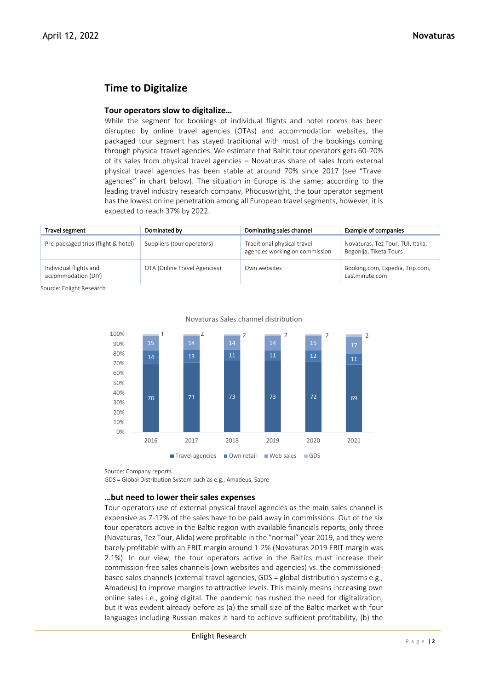# **Time to Digitalize**

## **Tour operators slow to digitalize…**

While the segment for bookings of individual flights and hotel rooms has been disrupted by online travel agencies (OTAs) and accommodation websites, the packaged tour segment has stayed traditional with most of the bookings coming through physical travel agencies. We estimate that Baltic tour operators gets 60-70% of its sales from physical travel agencies – Novaturas share of sales from external physical travel agencies has been stable at around 70% since 2017 (see "Travel agencies" in chart below). The situation in Europe is the same; according to the leading travel industry research company, Phocuswright, the tour operator segment has the lowest online penetration among all European travel segments, however, it is expected to reach 37% by 2022.

| Travel segment                                | Dominated by                 | Dominating sales channel                                      | Example of companies                                       |
|-----------------------------------------------|------------------------------|---------------------------------------------------------------|------------------------------------------------------------|
| Pre-packaged trips (flight & hotel)           | Suppliers (tour operators)   | Traditional physical travel<br>agencies working on commission | Novaturas, Tez Tour, TUI, Itaka,<br>Begonija, Tiketa Tours |
| Individual flights and<br>accommodation (DIY) | OTA (Online Travel Agencies) | Own websites                                                  | Booking.com, Expedia, Trip.com,<br>Lastminute.com          |

Source: Enlight Research



### Novaturas Sales channel distribution

Source: Company reports

GDS = Global Distribution System such as e.g., Amadeus, Sabre

### **…but need to lower their sales expenses**

Tour operators use of external physical travel agencies as the main sales channel is expensive as 7-12% of the sales have to be paid away in commissions. Out of the six tour operators active in the Baltic region with available financials reports, only three (Novaturas, Tez Tour, Alida) were profitable in the "normal" year 2019, and they were barely profitable with an EBIT margin around 1-2% (Novaturas 2019 EBIT margin was 2.1%). In our view, the tour operators active in the Baltics must increase their commission-free sales channels (own websites and agencies) vs. the commissionedbased sales channels (external travel agencies, GDS = global distribution systems e.g., Amadeus) to improve margins to attractive levels. This mainly means increasing own online sales i.e., going digital. The pandemic has rushed the need for digitalization, but it was evident already before as (a) the small size of the Baltic market with four languages including Russian makes it hard to achieve sufficient profitability, (b) the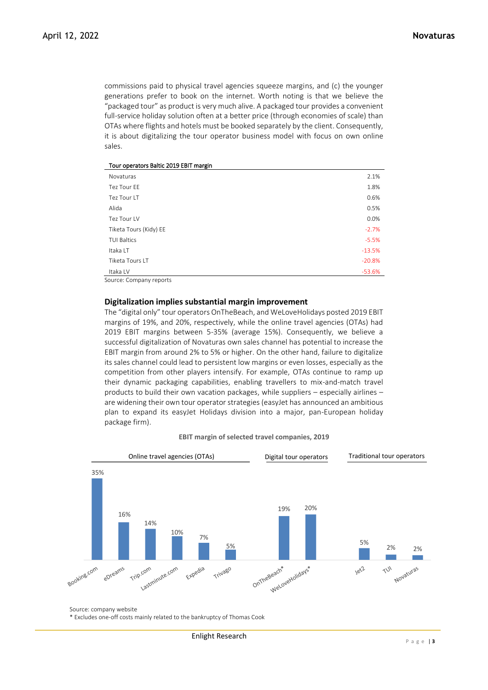commissions paid to physical travel agencies squeeze margins, and (c) the younger generations prefer to book on the internet. Worth noting is that we believe the "packaged tour" as product is very much alive. A packaged tour provides a convenient full-service holiday solution often at a better price (through economies of scale) than OTAs where flights and hotels must be booked separately by the client. Consequently, it is about digitalizing the tour operator business model with focus on own online sales.

| Tour operators Baltic 2019 EBIT margin |  |  |
|----------------------------------------|--|--|
|----------------------------------------|--|--|

| Novaturas              | 2.1%     |
|------------------------|----------|
| Tez Tour FF            | 1.8%     |
| Tez Tour LT            | 0.6%     |
| Alida                  | 0.5%     |
| Tez Tour LV            | 0.0%     |
| Tiketa Tours (Kidy) EE | $-2.7%$  |
| <b>TUI Baltics</b>     | $-5.5%$  |
| Itaka LT               | $-13.5%$ |
| Tiketa Tours LT        | $-20.8%$ |
| Itaka LV               | $-53.6%$ |

Source: Company reports

#### **Digitalization implies substantial margin improvement**

The "digital only" tour operators OnTheBeach, and WeLoveHolidays posted 2019 EBIT margins of 19%, and 20%, respectively, while the online travel agencies (OTAs) had 2019 EBIT margins between 5-35% (average 15%). Consequently, we believe a successful digitalization of Novaturas own sales channel has potential to increase the EBIT margin from around 2% to 5% or higher. On the other hand, failure to digitalize its sales channel could lead to persistent low margins or even losses, especially as the competition from other players intensify. For example, OTAs continue to ramp up their dynamic packaging capabilities, enabling travellers to mix-and-match travel products to build their own vacation packages, while suppliers – especially airlines – are widening their own tour operator strategies (easyJet has announced an ambitious plan to expand its easyJet Holidays division into a major, pan-European holiday package firm).

| <b>EBIT margin of selected travel companies, 2019</b> |  |  |
|-------------------------------------------------------|--|--|
|-------------------------------------------------------|--|--|



Source: company website

\* Excludes one-off costs mainly related to the bankruptcy of Thomas Cook

Enlight Research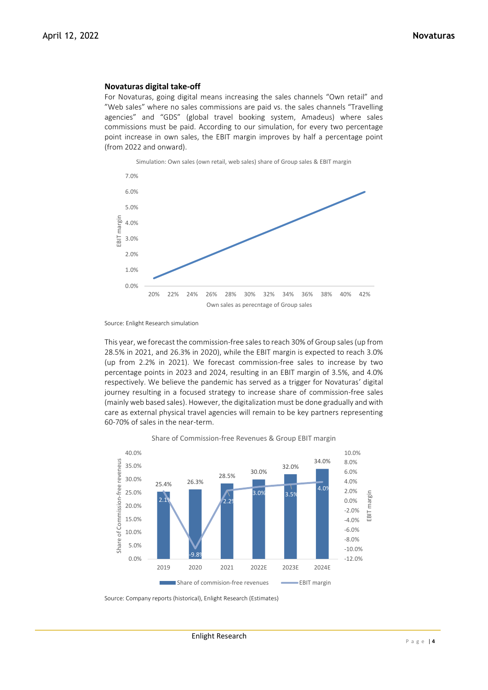#### **Novaturas digital take-off**

For Novaturas, going digital means increasing the sales channels "Own retail" and "Web sales" where no sales commissions are paid vs. the sales channels "Travelling agencies" and "GDS" (global travel booking system, Amadeus) where sales commissions must be paid. According to our simulation, for every two percentage point increase in own sales, the EBIT margin improves by half a percentage point (from 2022 and onward).



Source: Enlight Research simulation

This year, we forecast the commission-free sales to reach 30% of Group sales (up from 28.5% in 2021, and 26.3% in 2020), while the EBIT margin is expected to reach 3.0% (up from 2.2% in 2021). We forecast commission-free sales to increase by two percentage points in 2023 and 2024, resulting in an EBIT margin of 3.5%, and 4.0% respectively. We believe the pandemic has served as a trigger for Novaturas' digital journey resulting in a focused strategy to increase share of commission-free sales (mainly web based sales). However, the digitalization must be done gradually and with care as external physical travel agencies will remain to be key partners representing 60-70% of sales in the near-term.



Share of Commission-free Revenues & Group EBIT margin

Source: Company reports (historical), Enlight Research (Estimates)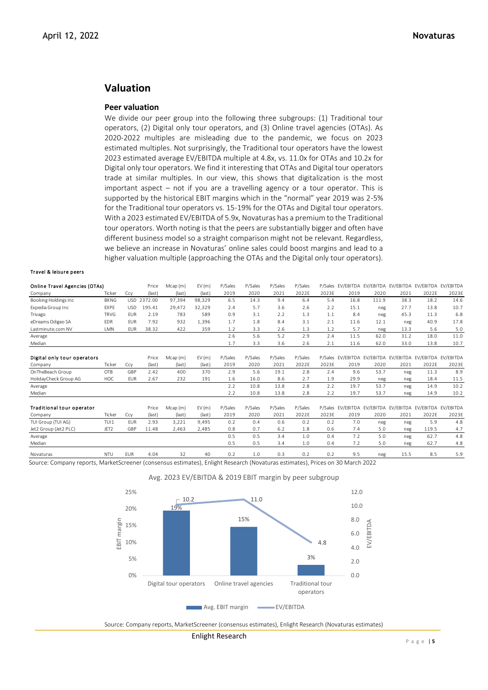## **Valuation**

#### **Peer valuation**

We divide our peer group into the following three subgroups: (1) Traditional tour operators, (2) Digital only tour operators, and (3) Online travel agencies (OTAs). As 2020-2022 multiples are misleading due to the pandemic, we focus on 2023 estimated multiples. Not surprisingly, the Traditional tour operators have the lowest 2023 estimated average EV/EBITDA multiple at 4.8x, vs. 11.0x for OTAs and 10.2x for Digital only tour operators. We find it interesting that OTAs and Digital tour operators trade at similar multiples. In our view, this shows that digitalization is the most important aspect – not if you are a travelling agency or a tour operator. This is supported by the historical EBIT margins which in the "normal" year 2019 was 2-5% for the Traditional tour operators vs. 15-19% for the OTAs and Digital tour operators. With a 2023 estimated EV/EBITDA of 5.9x, Novaturas has a premium to the Traditional tour operators. Worth noting is that the peers are substantially bigger and often have different business model so a straight comparison might not be relevant. Regardless, we believe an increase in Novaturas' online sales could boost margins and lead to a higher valuation multiple (approaching the OTAs and the Digital only tour operators).

#### Travel & leisure peers

|                                                                                                                                |             |            |             | higher valuation multiple (approaching the OTAs and the Digital only tour operators). |        |         |         |         |         |       |      |       |      |                                                           |       |
|--------------------------------------------------------------------------------------------------------------------------------|-------------|------------|-------------|---------------------------------------------------------------------------------------|--------|---------|---------|---------|---------|-------|------|-------|------|-----------------------------------------------------------|-------|
| Travel & leisure peers                                                                                                         |             |            |             |                                                                                       |        |         |         |         |         |       |      |       |      |                                                           |       |
| Online Travel Agencies (OTAs)                                                                                                  |             |            | Price       | Mean(m)                                                                               | EV(m)  | P/Sales | P/Sales | P/Sales | P/Sales |       |      |       |      | P/Sales EV/EBITDA EV/EBITDA EV/EBITDA EV/EBITDA EV/EBITDA |       |
| Company                                                                                                                        | Ticker      | Ccy        | (last)      | (last)                                                                                | (last) | 2019    | 2020    | 2021    | 2022E   | 2023E | 2019 | 2020  | 2021 | 2022E                                                     | 2023E |
| Booking Holdings Inc                                                                                                           | <b>BKNG</b> |            | USD 2372.00 | 97,394                                                                                | 98,329 | 6.5     | 14.3    | 9.4     | 6.4     | 5.4   | 16.8 | 111.9 | 38.3 | 18.2                                                      | 14.6  |
| Expedia Group Inc                                                                                                              | EXPE        | <b>USD</b> | 195.41      | 29,472                                                                                | 32,329 | 2.4     | 5.7     | 3.6     | 2.6     | 2.2   | 15.1 | neg   | 27.7 | 13.8                                                      | 10.7  |
| Trivago                                                                                                                        | <b>TRVG</b> | <b>EUR</b> | 2.19        | 783                                                                                   | 589    | 0.9     | 3.1     | 2.2     | 1.3     | 1.1   | 8.4  | neg   | 45.3 | 11.3                                                      | 6.8   |
| eDreams Odigeo SA                                                                                                              | <b>EDR</b>  | <b>EUR</b> | 7.92        | 932                                                                                   | 1,396  | 1.7     | 1.8     | 8.4     | 3.1     | 2.1   | 11.6 | 12.1  | neg  | 40.9                                                      | 17.8  |
| Lastminute.com NV                                                                                                              | LMN         | <b>EUR</b> | 38.32       | 422                                                                                   | 359    | 1.2     | 3.3     | 2.6     | 1.3     | 1.2   | 5.7  | neg   | 13.3 | 5.6                                                       | 5.0   |
| Average                                                                                                                        |             |            |             |                                                                                       |        | 2.6     | 5.6     | 5.2     | 2.9     | 2.4   | 11.5 | 62.0  | 31.2 | 18.0                                                      | 11.0  |
| Median                                                                                                                         |             |            |             |                                                                                       |        | 1.7     | 3.3     | 3.6     | 2.6     | 2.1   | 11.6 | 62.0  | 33.0 | 13.8                                                      | 10.7  |
| Digital only tour operators                                                                                                    |             |            | Price       | Mean(m)                                                                               | EV(m)  | P/Sales | P/Sales | P/Sales | P/Sales |       |      |       |      | P/Sales EV/EBITDA EV/EBITDA EV/EBITDA EV/EBITDA EV/EBITDA |       |
| Company                                                                                                                        | Ticker      | Ccy        | (last)      | (last)                                                                                | (last) | 2019    | 2020    | 2021    | 2022E   | 2023E | 2019 | 2020  | 2021 | 2022E                                                     | 2023E |
| OnTheBeach Group                                                                                                               | OTB         | GBP        | 2.42        | 400                                                                                   | 370    | 2.9     | 5.6     | 19.1    | 2.8     | 2.4   | 9.6  | 53.7  | neg  | 11.3                                                      | 8.9   |
| HolidayCheck Group AG                                                                                                          | HOC         | <b>EUR</b> | 2.67        | 232                                                                                   | 191    | 1.6     | 16.0    | 8.6     | 2.7     | 1.9   | 29.9 | neg   | neg  | 18.4                                                      | 11.5  |
| Average                                                                                                                        |             |            |             |                                                                                       |        | 2.2     | 10.8    | 13.8    | 2.8     | 2.2   | 19.7 | 53.7  | neg  | 14.9                                                      | 10.2  |
| Median                                                                                                                         |             |            |             |                                                                                       |        | 2.2     | 10.8    | 13.8    | 2.8     | 2.2   | 19.7 | 53.7  | neg  | 14.9                                                      | 10.2  |
| <b>Traditional tour operator</b>                                                                                               |             |            | Price       | Mcap (m)                                                                              | EV(m)  | P/Sales | P/Sales | P/Sales | P/Sales |       |      |       |      | P/Sales EV/EBITDA EV/EBITDA EV/EBITDA EV/EBITDA EV/EBITDA |       |
| Company                                                                                                                        | Ticker      | Ccy        | (last)      | (last)                                                                                | (last) | 2019    | 2020    | 2021    | 2022E   | 2023E | 2019 | 2020  | 2021 | 2022E                                                     | 2023E |
| TUI Group (TUI AG)                                                                                                             | TUI1        | <b>EUR</b> | 2.93        | 3,221                                                                                 | 9,495  | 0.2     | 0.4     | 0.6     | 0.2     | 0.2   | 7.0  | neg   | neg  | 5.9                                                       | 4.8   |
| Jet2 Group (Jet2 PLC)                                                                                                          | JET2        | GBP        | 11.48       | 2,463                                                                                 | 2,485  | 0.8     | 0.7     | 6.2     | 1.8     | 0.6   | 7.4  | 5.0   | neg  | 119.5                                                     | 4.7   |
| Average                                                                                                                        |             |            |             |                                                                                       |        | 0.5     | 0.5     | 3.4     | 1.0     | 0.4   | 7.2  | 5.0   | neg  | 62.7                                                      | 4.8   |
| Median                                                                                                                         |             |            |             |                                                                                       |        | 0.5     | 0.5     | 3.4     | 1.0     | 0.4   | 7.2  | 5.0   | neg  | 62.7                                                      | 4.8   |
| Novaturas                                                                                                                      | <b>NTU</b>  | EUR        | 4.04        | 32                                                                                    | 40     | 0.2     | 1.0     | 0.3     | 0.2     | 0.2   | 9.5  | neg   | 15.5 | 8.5                                                       | 5.9   |
| Source: Company reports, MarketScreener (consensus estimates), Enlight Research (Novaturas estimates), Prices on 30 March 2022 |             |            |             |                                                                                       |        |         |         |         |         |       |      |       |      |                                                           |       |



Avg. 2023 EV/EBITDA & 2019 EBIT margin by peer subgroup

Source: Company reports, MarketScreener (consensus estimates), Enlight Research (Novaturas estimates)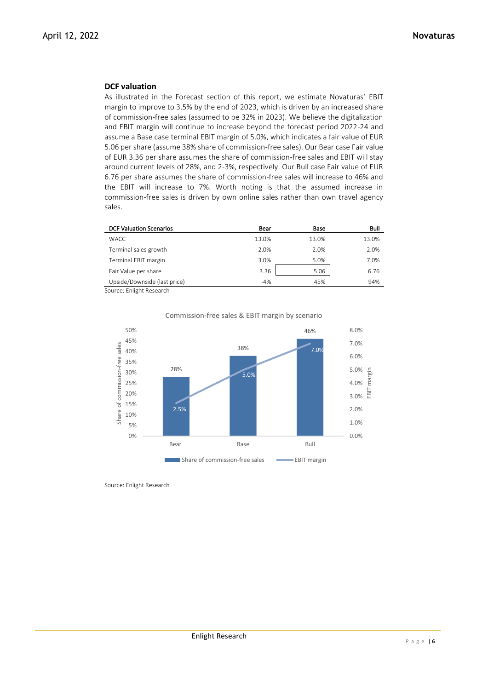## **DCF valuation**

As illustrated in the Forecast section of this report, we estimate Novaturas' EBIT margin to improve to 3.5% by the end of 2023, which is driven by an increased share of commission-free sales (assumed to be 32% in 2023). We believe the digitalization and EBIT margin will continue to increase beyond the forecast period 2022-24 and assume a Base case terminal EBIT margin of 5.0%, which indicates a fair value of EUR 5.06 per share (assume 38% share of commission-free sales). Our Bear case Fair value of EUR 3.36 per share assumes the share of commission-free sales and EBIT will stay around current levels of 28%, and 2-3%, respectively. Our Bull case Fair value of EUR 6.76 per share assumes the share of commission-free sales will increase to 46% and the EBIT will increase to 7%. Worth noting is that the assumed increase in commission-free sales is driven by own online sales rather than own travel agency sales.

| <b>DCF Valuation Scenarios</b> | Bear  | Base  | Bull  |
|--------------------------------|-------|-------|-------|
| <b>WACC</b>                    | 13.0% | 13.0% | 13.0% |
| Terminal sales growth          | 2.0%  | 2.0%  | 2.0%  |
| Terminal EBIT margin           | 3.0%  | 5.0%  | 7.0%  |
| Fair Value per share           | 3.36  | 5.06  | 6.76  |
| Upside/Downside (last price)   | $-4%$ | 45%   | 94%   |

Source: Enlight Research



### Commission-free sales & EBIT margin by scenario

Source: Enlight Research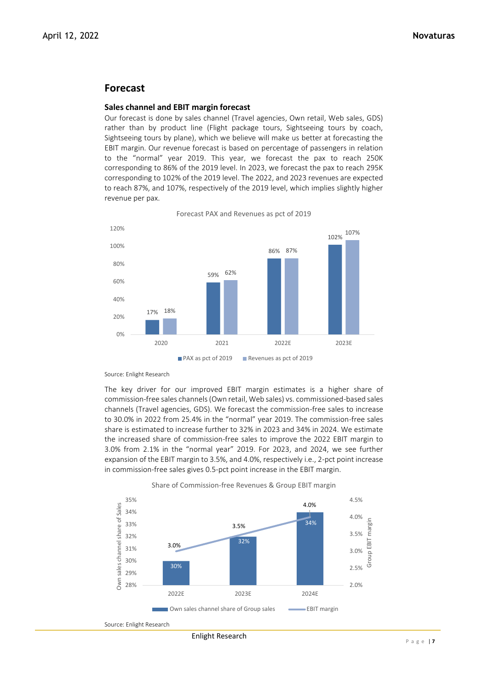## **Forecast**

#### **Sales channel and EBIT margin forecast**

Our forecast is done by sales channel (Travel agencies, Own retail, Web sales, GDS) rather than by product line (Flight package tours, Sightseeing tours by coach, Sightseeing tours by plane), which we believe will make us better at forecasting the EBIT margin. Our revenue forecast is based on percentage of passengers in relation to the "normal" year 2019. This year, we forecast the pax to reach 250K corresponding to 86% of the 2019 level. In 2023, we forecast the pax to reach 295K corresponding to 102% of the 2019 level. The 2022, and 2023 revenues are expected to reach 87%, and 107%, respectively of the 2019 level, which implies slightly higher revenue per pax.



Forecast PAX and Revenues as pct of 2019

Source: Enlight Research

The key driver for our improved EBIT margin estimates is a higher share of commission-free sales channels (Own retail, Web sales) vs. commissioned-based sales channels (Travel agencies, GDS). We forecast the commission-free sales to increase to 30.0% in 2022 from 25.4% in the "normal" year 2019. The commission-free sales share is estimated to increase further to 32% in 2023 and 34% in 2024. We estimate the increased share of commission-free sales to improve the 2022 EBIT margin to 3.0% from 2.1% in the "normal year" 2019. For 2023, and 2024, we see further expansion of the EBIT margin to 3.5%, and 4.0%, respectively i.e., 2-pct point increase in commission-free sales gives 0.5-pct point increase in the EBIT margin.

Share of Commission-free Revenues & Group EBIT margin 35% 4.5% Own sales channel share of Sales 4.0% Own sales channel share of Sales 34% 4.0% margin 34% Group EBIT margin 33% 3.5% 3.5% 32% 32% **FBIT** 3.0% 31% 3.0% ano 30% ۲, 30% 2.5% 29% 28% 2.0% 2022E 2023E 2024E Own sales channel share of Group sales **EBIT** margin

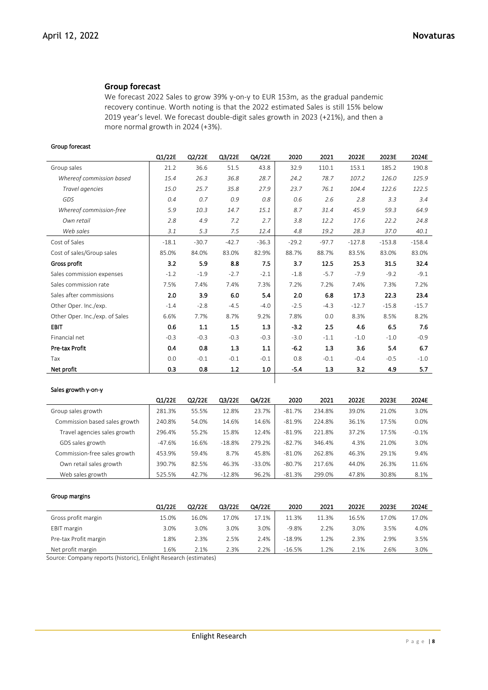## **Group forecast**

We forecast 2022 Sales to grow 39% y-on-y to EUR 153m, as the gradual pandemic recovery continue. Worth noting is that the 2022 estimated Sales is still 15% below 2019 year's level. We forecast double-digit sales growth in 2023 (+21%), and then a more normal growth in 2024 (+3%).

#### Group forecast

|                                | Q1/22E  | Q2/22E  | Q3/22E  | Q4/22E  | 2020    | 2021    | 2022E    | 2023E    | 2024E    |
|--------------------------------|---------|---------|---------|---------|---------|---------|----------|----------|----------|
| Group sales                    | 21.2    | 36.6    | 51.5    | 43.8    | 32.9    | 110.1   | 153.1    | 185.2    | 190.8    |
| Whereof commission based       | 15.4    | 26.3    | 36.8    | 28.7    | 24.2    | 78.7    | 107.2    | 126.0    | 125.9    |
| Travel agencies                | 15.0    | 25.7    | 35.8    | 27.9    | 23.7    | 76.1    | 104.4    | 122.6    | 122.5    |
| GDS                            | 0.4     | 0.7     | 0.9     | 0.8     | 0.6     | 2.6     | 2.8      | 3.3      | 3.4      |
| Whereof commission-free        | 5.9     | 10.3    | 14.7    | 15.1    | 8.7     | 31.4    | 45.9     | 59.3     | 64.9     |
| Own retail                     | 2.8     | 4.9     | 7.2     | 2.7     | 3.8     | 12.2    | 17.6     | 22.2     | 24.8     |
| Web sales                      | 3.1     | 5.3     | 7.5     | 12.4    | 4.8     | 19.2    | 28.3     | 37.0     | 40.1     |
| Cost of Sales                  | $-18.1$ | $-30.7$ | $-42.7$ | $-36.3$ | $-29.2$ | $-97.7$ | $-127.8$ | $-153.8$ | $-158.4$ |
| Cost of sales/Group sales      | 85.0%   | 84.0%   | 83.0%   | 82.9%   | 88.7%   | 88.7%   | 83.5%    | 83.0%    | 83.0%    |
| Gross profit                   | 3.2     | 5.9     | 8.8     | 7.5     | 3.7     | 12.5    | 25.3     | 31.5     | 32.4     |
| Sales commission expenses      | $-1.2$  | $-1.9$  | $-2.7$  | $-2.1$  | $-1.8$  | $-5.7$  | $-7.9$   | $-9.2$   | $-9.1$   |
| Sales commission rate          | 7.5%    | 7.4%    | 7.4%    | 7.3%    | 7.2%    | 7.2%    | 7.4%     | 7.3%     | 7.2%     |
| Sales after commissions        | 2.0     | 3.9     | 6.0     | 5.4     | 2.0     | 6.8     | 17.3     | 22.3     | 23.4     |
| Other Oper. Inc./exp.          | $-1.4$  | $-2.8$  | $-4.5$  | $-4.0$  | $-2.5$  | $-4.3$  | $-12.7$  | $-15.8$  | $-15.7$  |
| Other Oper. Inc./exp. of Sales | 6.6%    | 7.7%    | 8.7%    | 9.2%    | 7.8%    | 0.0     | 8.3%     | 8.5%     | 8.2%     |
| <b>EBIT</b>                    | 0.6     | 1.1     | 1.5     | 1.3     | $-3.2$  | 2.5     | 4.6      | 6.5      | 7.6      |
| Financial net                  | $-0.3$  | $-0.3$  | $-0.3$  | $-0.3$  | $-3.0$  | $-1.1$  | $-1.0$   | $-1.0$   | $-0.9$   |
| Pre-tax Profit                 | 0.4     | 0.8     | 1.3     | 1.1     | $-6.2$  | 1.3     | 3.6      | 5.4      | 6.7      |
| Tax                            | 0.0     | $-0.1$  | $-0.1$  | $-0.1$  | 0.8     | $-0.1$  | $-0.4$   | $-0.5$   | $-1.0$   |
| Net profit                     | 0.3     | 0.8     | $1.2$   | 1.0     | -5.4    | 1.3     | 3.2      | 4.9      | 5.7      |

#### Sales growth y-on-y

|                               | Q1/22E   | Q2/22E | Q3/22E   | Q4/22E   | 2020     | 2021   | 2022E | 2023E | 2024E   |
|-------------------------------|----------|--------|----------|----------|----------|--------|-------|-------|---------|
| Group sales growth            | 281.3%   | 55.5%  | 12.8%    | 23.7%    | $-81.7%$ | 234.8% | 39.0% | 21.0% | 3.0%    |
| Commission based sales growth | 240.8%   | 54.0%  | 14.6%    | 14.6%    | $-81.9%$ | 224.8% | 36.1% | 17.5% | 0.0%    |
| Travel agencies sales growth  | 296.4%   | 55.2%  | 15.8%    | 12.4%    | $-81.9%$ | 221.8% | 37.2% | 17.5% | $-0.1%$ |
| GDS sales growth              | $-47.6%$ | 16.6%  | $-18.8%$ | 279.2%   | $-82.7%$ | 346.4% | 4.3%  | 21.0% | 3.0%    |
| Commission-free sales growth  | 453.9%   | 59.4%  | 8.7%     | 45.8%    | $-81.0%$ | 262.8% | 46.3% | 29.1% | 9.4%    |
| Own retail sales growth       | 390.7%   | 82.5%  | 46.3%    | $-33.0%$ | $-80.7%$ | 217.6% | 44.0% | 26.3% | 11.6%   |
| Web sales growth              | 525.5%   | 42.7%  | $-12.8%$ | 96.2%    | $-81.3%$ | 299.0% | 47.8% | 30.8% | 8.1%    |

 $\overline{\phantom{a}}$ 

#### Group margins

|                       | Q1/22E | Q2/22E | Q3/22E | Q4/22E | 2020     | 2021  | 2022E | 2023E | 2024E |
|-----------------------|--------|--------|--------|--------|----------|-------|-------|-------|-------|
| Gross profit margin   | 15.0%  | 16.0%  | 17.0%  | 17.1%  | 11.3%    | 11.3% | 16.5% | 17.0% | 17.0% |
| <b>EBIT</b> margin    | 3.0%   | 3.0%   | 3.0%   | 3.0%   | $-9.8%$  | 2.2%  | 3.0%  | 3.5%  | 4.0%  |
| Pre-tax Profit margin | 1.8%   | 2.3%   | 2.5%   | 2.4%   | $-18.9%$ | 1.2%  | 2.3%  | 2.9%  | 3.5%  |
| Net profit margin     | 1.6%   | 2.1%   | 2.3%   | 2.2%   | $-16.5%$ | 1.2%  | 2.1%  | 2.6%  | 3.0%  |

Source: Company reports (historic), Enlight Research (estimates)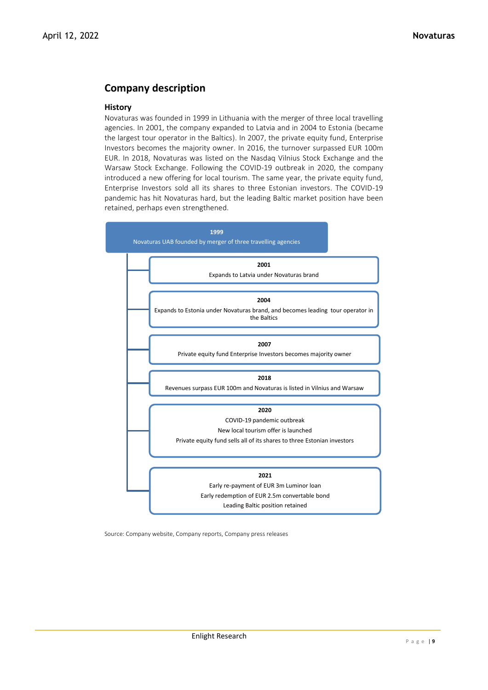# **Company description**

## **History**

Novaturas was founded in 1999 in Lithuania with the merger of three local travelling agencies. In 2001, the company expanded to Latvia and in 2004 to Estonia (became the largest tour operator in the Baltics). In 2007, the private equity fund, Enterprise Investors becomes the majority owner. In 2016, the turnover surpassed EUR 100m EUR. In 2018, Novaturas was listed on the Nasdaq Vilnius Stock Exchange and the Warsaw Stock Exchange. Following the COVID-19 outbreak in 2020, the company introduced a new offering for local tourism. The same year, the private equity fund, Enterprise Investors sold all its shares to three Estonian investors. The COVID-19 pandemic has hit Novaturas hard, but the leading Baltic market position have been retained, perhaps even strengthened.



Source: Company website, Company reports, Company press releases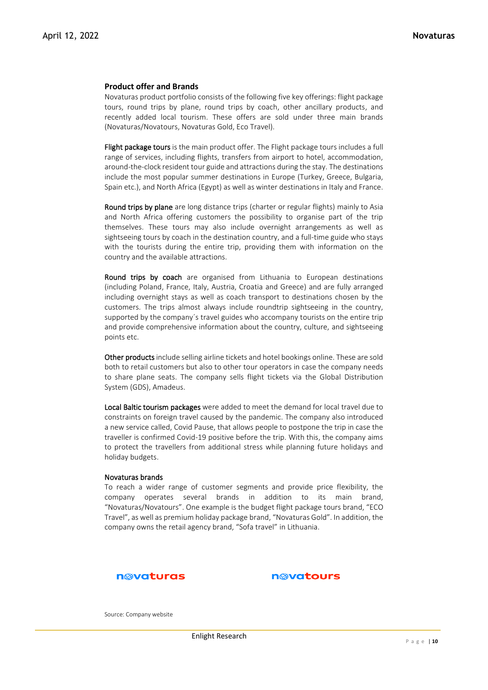## **Product offer and Brands**

Novaturas product portfolio consists of the following five key offerings: flight package tours, round trips by plane, round trips by coach, other ancillary products, and recently added local tourism. These offers are sold under three main brands (Novaturas/Novatours, Novaturas Gold, Eco Travel).

Flight package tours is the main product offer. The Flight package tours includes a full range of services, including flights, transfers from airport to hotel, accommodation, around-the-clock resident tour guide and attractions during the stay. The destinations include the most popular summer destinations in Europe (Turkey, Greece, Bulgaria, Spain etc.), and North Africa (Egypt) as well as winter destinations in Italy and France.

Round trips by plane are long distance trips (charter or regular flights) mainly to Asia and North Africa offering customers the possibility to organise part of the trip themselves. These tours may also include overnight arrangements as well as sightseeing tours by coach in the destination country, and a full-time guide who stays with the tourists during the entire trip, providing them with information on the country and the available attractions.

Round trips by coach are organised from Lithuania to European destinations (including Poland, France, Italy, Austria, Croatia and Greece) and are fully arranged including overnight stays as well as coach transport to destinations chosen by the customers. The trips almost always include roundtrip sightseeing in the country, supported by the company's travel guides who accompany tourists on the entire trip and provide comprehensive information about the country, culture, and sightseeing points etc.

Other products include selling airline tickets and hotel bookings online. These are sold both to retail customers but also to other tour operators in case the company needs to share plane seats. The company sells flight tickets via the Global Distribution System (GDS), Amadeus.

Local Baltic tourism packages were added to meet the demand for local travel due to constraints on foreign travel caused by the pandemic. The company also introduced a new service called, Covid Pause, that allows people to postpone the trip in case the traveller is confirmed Covid-19 positive before the trip. With this, the company aims to protect the travellers from additional stress while planning future holidays and holiday budgets.

#### Novaturas brands

To reach a wider range of customer segments and provide price flexibility, the company operates several brands in addition to its main brand, "Novaturas/Novatours". One example is the budget flight package tours brand, "ECO Travel", as well as premium holiday package brand, "Novaturas Gold". In addition, the company owns the retail agency brand, "Sofa travel" in Lithuania.

### n@vaturas



Source: Company website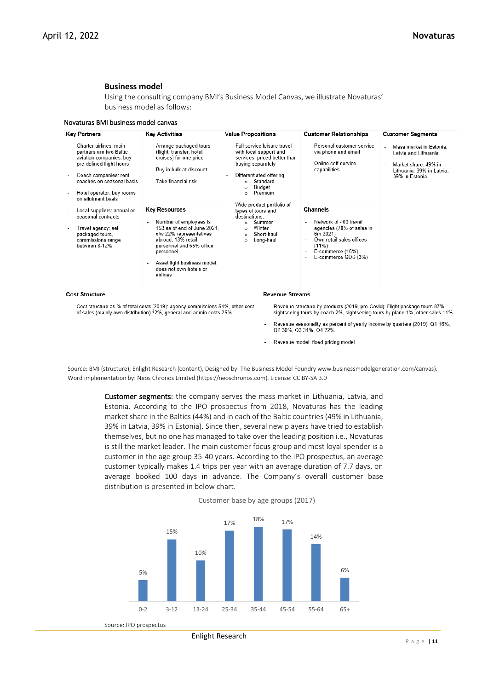## **Business model**

Using the consulting company BMI's Business Model Canvas, we illustrate Novaturas' business model as follows:

|  |  | Novaturas BMI business model canvas |
|--|--|-------------------------------------|
|--|--|-------------------------------------|

| <b>Key Partners</b>                                                                                                                                                                                               | <b>Key Activities</b>                                                                                                                                                                                                                        | <b>Value Propositions</b>                                                                                                                                                                                | <b>Customer Relationships</b>                                                                                                                                                                                                                                        | <b>Customer Segments</b>                                                                                                |
|-------------------------------------------------------------------------------------------------------------------------------------------------------------------------------------------------------------------|----------------------------------------------------------------------------------------------------------------------------------------------------------------------------------------------------------------------------------------------|----------------------------------------------------------------------------------------------------------------------------------------------------------------------------------------------------------|----------------------------------------------------------------------------------------------------------------------------------------------------------------------------------------------------------------------------------------------------------------------|-------------------------------------------------------------------------------------------------------------------------|
| Charter airlines: main<br>partners are two Baltic<br>aviation companies; buy<br>pre-defined flight hours<br>Coach companies: rent<br>coaches on seasonal basis<br>Hotel operator: buy rooms<br>on allotment basis | Arrange packaged tours<br>(flight, transfer, hotel,<br>cruises) for one price<br>Buy in bulk at discount<br>Take financial risk                                                                                                              | Full service leisure travel<br>with local support and<br>services, priced better than<br>buying separately<br>Differentiated offering:<br>Standard<br>$\circ$<br>Budget<br>$\circ$<br>Premium<br>$\circ$ | Personal customer service<br>via phone and email<br>Online self-service<br>capabilities                                                                                                                                                                              | Mass market in Estonia,<br>Latvia and Lithuania<br>Market share: 49% in<br>Lithuania, 39% in Latvia.<br>39% in Estonia. |
| Local suppliers: annual or<br>seasonal contracts<br>Travel agency: sell<br>packaged tours.<br>commissions range<br>between 8-12%                                                                                  | <b>Key Resources</b><br>Number of employees is<br>153 as of end of June 2021.<br>o/w 22% representatives<br>abroad, 13% retail<br>personnel and 65% office<br>personnel<br>Asset light business model:<br>does not own hotels or<br>airlines | Wide product portfolio of<br>types of tours and<br>destinations:<br>Summer<br>$\circ$<br>Winter<br>$\circ$<br>Short-haul<br>$\circ$<br>Long-haul<br>$\circ$                                              | Channels<br>Network of 400 travel<br>agencies (70% of sales in<br>6m 2021)<br>Own retail sales offices<br>$(11\%)$<br>E-commerce (15%)<br>E-commerce GDS (3%)                                                                                                        |                                                                                                                         |
| <b>Cost Structure</b>                                                                                                                                                                                             |                                                                                                                                                                                                                                              |                                                                                                                                                                                                          | <b>Revenue Streams</b>                                                                                                                                                                                                                                               |                                                                                                                         |
|                                                                                                                                                                                                                   | Cost structure as % of total costs (2019): agency commissions 54%, other cost<br>of sales (mainly own distribution) 22%, general and admin costs 25%                                                                                         | $\overline{\phantom{a}}$                                                                                                                                                                                 | Revenue structure by products (2019, pre-Covid): Flight package tours 87%,<br>sightseeing tours by coach 2%, sightseeing tours by plane 1%, other sales 11%<br>Revenue seasonality as percent of yearly income by quarters (2019): Q1 16%,<br>Q2 30%, Q3 31%, Q4 22% |                                                                                                                         |

Source: BMI (structure), Enlight Research (content), Designed by: The Business Model Foundry www.businessmodelgeneration.com/canvas). Word implementation by: Neos Chronos Limited (https://neoschronos.com). License: CC BY-SA 3.0

Revenue model: fixed pricing model

Customer segments: the company serves the mass market in Lithuania, Latvia, and Estonia. According to the IPO prospectus from 2018, Novaturas has the leading market share in the Baltics (44%) and in each of the Baltic countries (49% in Lithuania, 39% in Latvia, 39% in Estonia). Since then, several new players have tried to establish themselves, but no one has managed to take over the leading position i.e., Novaturas is still the market leader. The main customer focus group and most loyal spender is a customer in the age group 35-40 years. According to the IPO prospectus, an average customer typically makes 1.4 trips per year with an average duration of 7.7 days, on average booked 100 days in advance. The Company's overall customer base distribution is presented in below chart.



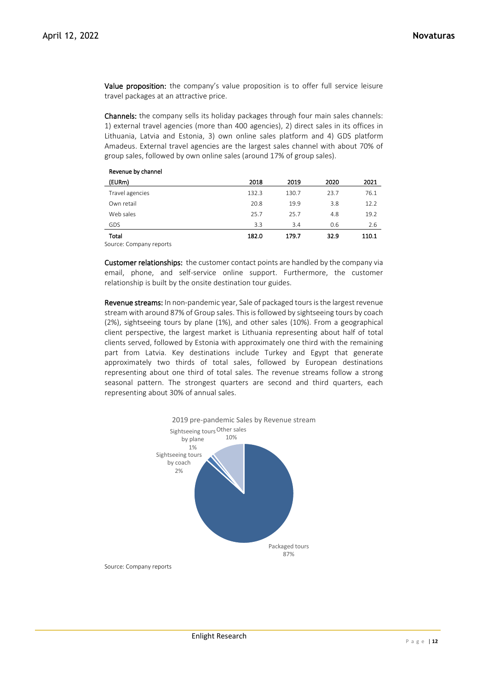Value proposition: the company's value proposition is to offer full service leisure travel packages at an attractive price.

Channels: the company sells its holiday packages through four main sales channels: 1) external travel agencies (more than 400 agencies), 2) direct sales in its offices in Lithuania, Latvia and Estonia, 3) own online sales platform and 4) GDS platform Amadeus. External travel agencies are the largest sales channel with about 70% of group sales, followed by own online sales (around 17% of group sales).

| Revenue by Channel   |       |       |      |       |
|----------------------|-------|-------|------|-------|
| (EURm)               | 2018  | 2019  | 2020 | 2021  |
| Travel agencies      | 132.3 | 130.7 | 23.7 | 76.1  |
| Own retail           | 20.8  | 19.9  | 3.8  | 12.2  |
| Web sales            | 25.7  | 25.7  | 4.8  | 19.2  |
| GDS                  | 3.3   | 3.4   | 0.6  | 2.6   |
| Total                | 182.0 | 179.7 | 32.9 | 110.1 |
| $\sim$ $\sim$<br>. . |       |       |      |       |

Source: Company reports

Revenue by channel

Customer relationships: the customer contact points are handled by the company via email, phone, and self-service online support. Furthermore, the customer relationship is built by the onsite destination tour guides.

Revenue streams: In non-pandemic year, Sale of packaged tours is the largest revenue stream with around 87% of Group sales. This is followed by sightseeing tours by coach (2%), sightseeing tours by plane (1%), and other sales (10%). From a geographical client perspective, the largest market is Lithuania representing about half of total clients served, followed by Estonia with approximately one third with the remaining part from Latvia. Key destinations include Turkey and Egypt that generate approximately two thirds of total sales, followed by European destinations representing about one third of total sales. The revenue streams follow a strong seasonal pattern. The strongest quarters are second and third quarters, each representing about 30% of annual sales.



Source: Company reports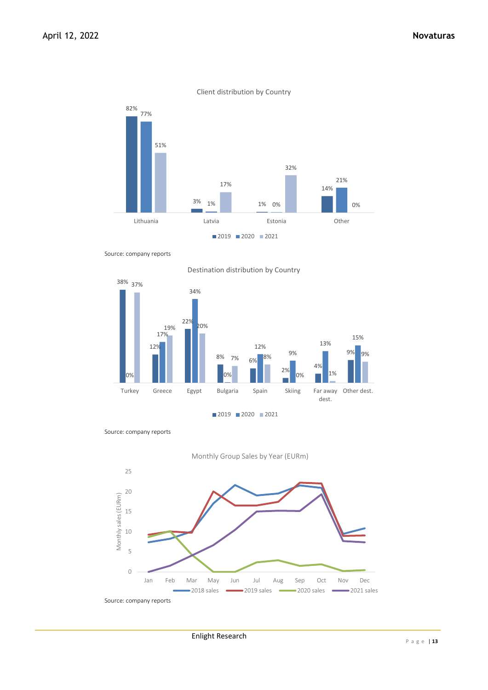

Client distribution by Country

Source: company reports



Destination distribution by Country

Source: company reports



Source: company reports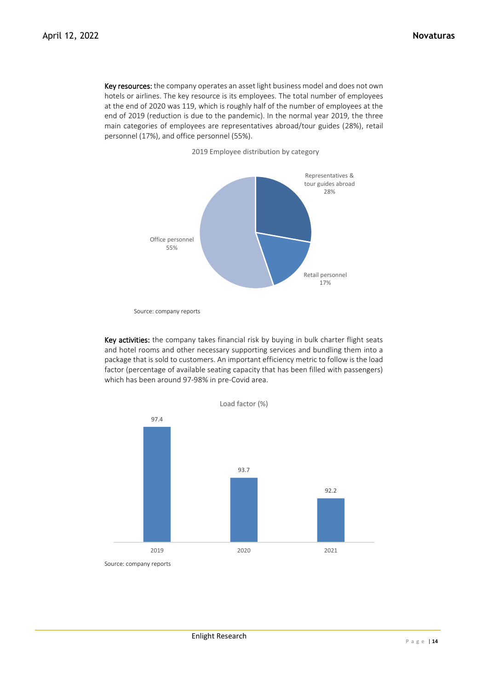Key resources: the company operates an asset light business model and does not own hotels or airlines. The key resource is its employees. The total number of employees at the end of 2020 was 119, which is roughly half of the number of employees at the end of 2019 (reduction is due to the pandemic). In the normal year 2019, the three main categories of employees are representatives abroad/tour guides (28%), retail personnel (17%), and office personnel (55%).

2019 Employee distribution by category



Source: company reports

Key activities: the company takes financial risk by buying in bulk charter flight seats and hotel rooms and other necessary supporting services and bundling them into a package that is sold to customers. An important efficiency metric to follow is the load factor (percentage of available seating capacity that has been filled with passengers) which has been around 97-98% in pre-Covid area.

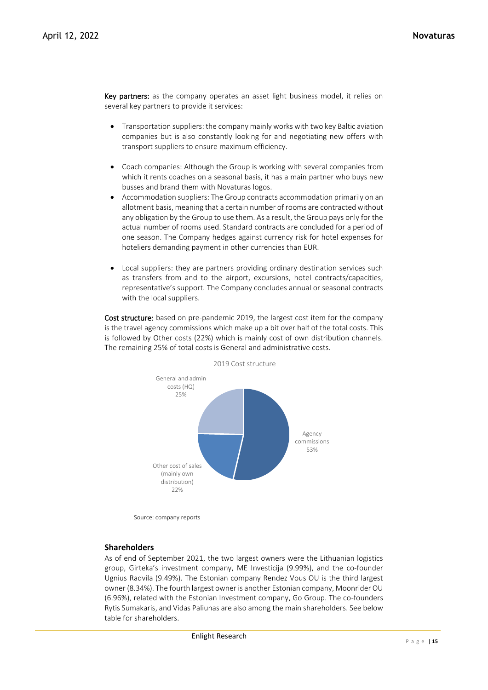Key partners: as the company operates an asset light business model, it relies on several key partners to provide it services:

- Transportation suppliers: the company mainly works with two key Baltic aviation companies but is also constantly looking for and negotiating new offers with transport suppliers to ensure maximum efficiency.
- Coach companies: Although the Group is working with several companies from which it rents coaches on a seasonal basis, it has a main partner who buys new busses and brand them with Novaturas logos.
- Accommodation suppliers: The Group contracts accommodation primarily on an allotment basis, meaning that a certain number of rooms are contracted without any obligation by the Group to use them. As a result, the Group pays only for the actual number of rooms used. Standard contracts are concluded for a period of one season. The Company hedges against currency risk for hotel expenses for hoteliers demanding payment in other currencies than EUR.
- Local suppliers: they are partners providing ordinary destination services such as transfers from and to the airport, excursions, hotel contracts/capacities, representative's support. The Company concludes annual or seasonal contracts with the local suppliers.

Cost structure: based on pre-pandemic 2019, the largest cost item for the company is the travel agency commissions which make up a bit over half of the total costs. This is followed by Other costs (22%) which is mainly cost of own distribution channels. The remaining 25% of total costs is General and administrative costs.



Source: company reports

## **Shareholders**

As of end of September 2021, the two largest owners were the Lithuanian logistics group, Girteka's investment company, ME Investicija (9.99%), and the co-founder Ugnius Radvila (9.49%). The Estonian company Rendez Vous OU is the third largest owner (8.34%). The fourth largest owner is another Estonian company, Moonrider OU (6.96%), related with the Estonian Investment company, Go Group. The co-founders Rytis Sumakaris, and Vidas Paliunas are also among the main shareholders. See below table for shareholders.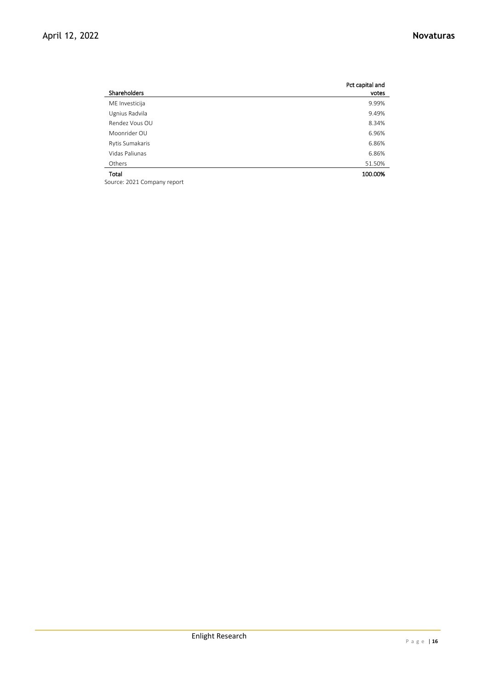|                 | Pct capital and |
|-----------------|-----------------|
| Shareholders    | votes           |
| ME Investicija  | 9.99%           |
| Ugnius Radvila  | 9.49%           |
| Rendez Vous OU  | 8.34%           |
| Moonrider OU    | 6.96%           |
| Rytis Sumakaris | 6.86%           |
| Vidas Paliunas  | 6.86%           |
| Others          | 51.50%          |
| Total           | 100.00%         |

Source: 2021 Company report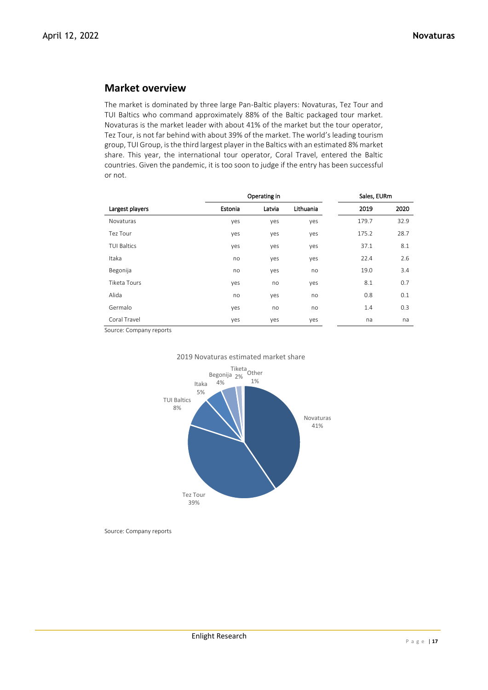## **Market overview**

The market is dominated by three large Pan-Baltic players: Novaturas, Tez Tour and TUI Baltics who command approximately 88% of the Baltic packaged tour market. Novaturas is the market leader with about 41% of the market but the tour operator, Tez Tour, is not far behind with about 39% of the market. The world's leading tourism group, TUI Group, is the third largest player in the Baltics with an estimated 8% market share. This year, the international tour operator, Coral Travel, entered the Baltic countries. Given the pandemic, it is too soon to judge if the entry has been successful or not.

|                    | Operating in |        |           | Sales, EURm |      |
|--------------------|--------------|--------|-----------|-------------|------|
| Largest players    | Estonia      | Latvia | Lithuania | 2019        | 2020 |
| Novaturas          | yes          | yes    | yes       | 179.7       | 32.9 |
| Tez Tour           | yes          | yes    | yes       | 175.2       | 28.7 |
| <b>TUI Baltics</b> | yes          | yes    | yes       | 37.1        | 8.1  |
| Itaka              | no           | yes    | yes       | 22.4        | 2.6  |
| Begonija           | no           | yes    | no        | 19.0        | 3.4  |
| Tiketa Tours       | yes          | no     | yes       | 8.1         | 0.7  |
| Alida              | no           | yes    | no        | 0.8         | 0.1  |
| Germalo            | yes          | no     | no        | 1.4         | 0.3  |
| Coral Travel       | yes          | yes    | yes       | na          | na   |

Source: Company reports





Source: Company reports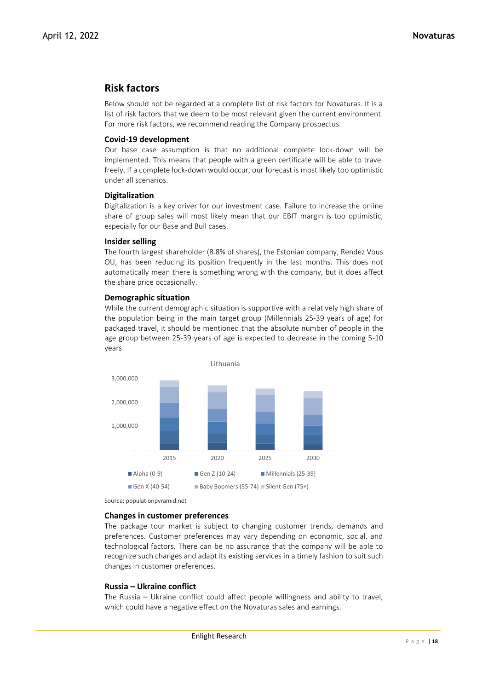## **Risk factors**

Below should not be regarded at a complete list of risk factors for Novaturas. It is a list of risk factors that we deem to be most relevant given the current environment. For more risk factors, we recommend reading the Company prospectus.

## **Covid-19 development**

Our base case assumption is that no additional complete lock-down will be implemented. This means that people with a green certificate will be able to travel freely. If a complete lock-down would occur, our forecast is most likely too optimistic under all scenarios.

## **Digitalization**

Digitalization is a key driver for our investment case. Failure to increase the online share of group sales will most likely mean that our EBIT margin is too optimistic, especially for our Base and Bull cases.

## **Insider selling**

The fourth largest shareholder (8.8% of shares), the Estonian company, Rendez Vous OU, has been reducing its position frequently in the last months. This does not automatically mean there is something wrong with the company, but it does affect the share price occasionally.

## **Demographic situation**

While the current demographic situation is supportive with a relatively high share of the population being in the main target group (Millennials 25-39 years of age) for packaged travel, it should be mentioned that the absolute number of people in the age group between 25-39 years of age is expected to decrease in the coming 5-10 years.



Source: populationpyramid.net

## **Changes in customer preferences**

The package tour market is subject to changing customer trends, demands and preferences. Customer preferences may vary depending on economic, social, and technological factors. There can be no assurance that the company will be able to recognize such changes and adapt its existing services in a timely fashion to suit such changes in customer preferences.

## **Russia – Ukraine conflict**

The Russia – Ukraine conflict could affect people willingness and ability to travel, which could have a negative effect on the Novaturas sales and earnings.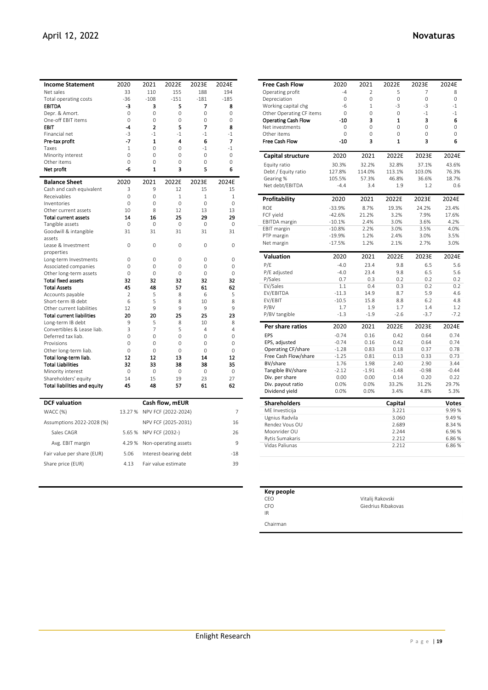| <b>Novatu</b> |
|---------------|
|               |
|               |

|                |                                                                                                                                                                            |                                                                                                                                                                                                     |                                                                                                                                                                    | 2024E                                                                                                                                                                                                                                |
|----------------|----------------------------------------------------------------------------------------------------------------------------------------------------------------------------|-----------------------------------------------------------------------------------------------------------------------------------------------------------------------------------------------------|--------------------------------------------------------------------------------------------------------------------------------------------------------------------|--------------------------------------------------------------------------------------------------------------------------------------------------------------------------------------------------------------------------------------|
| 33             | 110                                                                                                                                                                        | 155                                                                                                                                                                                                 | 188                                                                                                                                                                | 194                                                                                                                                                                                                                                  |
| $-36$          | $-108$                                                                                                                                                                     | $-151$                                                                                                                                                                                              | $-181$                                                                                                                                                             | $-185$                                                                                                                                                                                                                               |
| -3             | 3                                                                                                                                                                          | 5                                                                                                                                                                                                   | 7                                                                                                                                                                  | 8                                                                                                                                                                                                                                    |
| 0              | 0                                                                                                                                                                          | 0                                                                                                                                                                                                   | 0                                                                                                                                                                  | 0                                                                                                                                                                                                                                    |
| $\Omega$       | $\Omega$                                                                                                                                                                   | $\Omega$                                                                                                                                                                                            | $\Omega$                                                                                                                                                           | $\Omega$                                                                                                                                                                                                                             |
| $\mathbf{A}$   | $\overline{2}$                                                                                                                                                             | 5                                                                                                                                                                                                   | 7                                                                                                                                                                  | 8                                                                                                                                                                                                                                    |
| $-3$           | $-1$                                                                                                                                                                       | $-1$                                                                                                                                                                                                | $-1$                                                                                                                                                               | $-1$                                                                                                                                                                                                                                 |
|                |                                                                                                                                                                            | 4                                                                                                                                                                                                   | 6                                                                                                                                                                  | 7                                                                                                                                                                                                                                    |
|                |                                                                                                                                                                            |                                                                                                                                                                                                     |                                                                                                                                                                    | $-1$                                                                                                                                                                                                                                 |
|                |                                                                                                                                                                            |                                                                                                                                                                                                     |                                                                                                                                                                    | 0                                                                                                                                                                                                                                    |
|                |                                                                                                                                                                            |                                                                                                                                                                                                     |                                                                                                                                                                    | 0                                                                                                                                                                                                                                    |
|                |                                                                                                                                                                            |                                                                                                                                                                                                     |                                                                                                                                                                    | 6                                                                                                                                                                                                                                    |
| 2020           | 2021                                                                                                                                                                       | 2022E                                                                                                                                                                                               | 2023E                                                                                                                                                              | 2024E                                                                                                                                                                                                                                |
| 3              | 9                                                                                                                                                                          | 12                                                                                                                                                                                                  | 15                                                                                                                                                                 | 15                                                                                                                                                                                                                                   |
| $\Omega$       | $\Omega$                                                                                                                                                                   | 1                                                                                                                                                                                                   | 1                                                                                                                                                                  | 1                                                                                                                                                                                                                                    |
|                |                                                                                                                                                                            |                                                                                                                                                                                                     |                                                                                                                                                                    | $\Omega$                                                                                                                                                                                                                             |
|                |                                                                                                                                                                            |                                                                                                                                                                                                     |                                                                                                                                                                    | 13                                                                                                                                                                                                                                   |
|                |                                                                                                                                                                            |                                                                                                                                                                                                     |                                                                                                                                                                    | 29                                                                                                                                                                                                                                   |
|                |                                                                                                                                                                            |                                                                                                                                                                                                     |                                                                                                                                                                    | $\Omega$                                                                                                                                                                                                                             |
|                |                                                                                                                                                                            |                                                                                                                                                                                                     |                                                                                                                                                                    | 31                                                                                                                                                                                                                                   |
|                |                                                                                                                                                                            |                                                                                                                                                                                                     |                                                                                                                                                                    | 0                                                                                                                                                                                                                                    |
|                |                                                                                                                                                                            |                                                                                                                                                                                                     |                                                                                                                                                                    |                                                                                                                                                                                                                                      |
|                |                                                                                                                                                                            |                                                                                                                                                                                                     |                                                                                                                                                                    | 0                                                                                                                                                                                                                                    |
| $\Omega$       | $\Omega$                                                                                                                                                                   | $\Omega$                                                                                                                                                                                            | $\Omega$                                                                                                                                                           | $\Omega$                                                                                                                                                                                                                             |
| $\Omega$       | $\Omega$                                                                                                                                                                   | $\Omega$                                                                                                                                                                                            | $\Omega$                                                                                                                                                           | $\Omega$                                                                                                                                                                                                                             |
| 32             | 32                                                                                                                                                                         | 32                                                                                                                                                                                                  | 32                                                                                                                                                                 | 32                                                                                                                                                                                                                                   |
| 45             | 48                                                                                                                                                                         | 57                                                                                                                                                                                                  | 61                                                                                                                                                                 | 62                                                                                                                                                                                                                                   |
| $\mathfrak{p}$ | 5                                                                                                                                                                          | 8                                                                                                                                                                                                   | 6                                                                                                                                                                  | 5                                                                                                                                                                                                                                    |
| 6              | 5                                                                                                                                                                          | 8                                                                                                                                                                                                   | 10                                                                                                                                                                 | 8                                                                                                                                                                                                                                    |
| 12             | 9                                                                                                                                                                          | 9                                                                                                                                                                                                   | 9                                                                                                                                                                  | 9                                                                                                                                                                                                                                    |
| 20             | 20                                                                                                                                                                         | 25                                                                                                                                                                                                  | 25                                                                                                                                                                 | 23                                                                                                                                                                                                                                   |
|                |                                                                                                                                                                            |                                                                                                                                                                                                     |                                                                                                                                                                    | 8                                                                                                                                                                                                                                    |
|                |                                                                                                                                                                            |                                                                                                                                                                                                     |                                                                                                                                                                    | $\overline{4}$                                                                                                                                                                                                                       |
|                |                                                                                                                                                                            |                                                                                                                                                                                                     |                                                                                                                                                                    | 0                                                                                                                                                                                                                                    |
|                |                                                                                                                                                                            |                                                                                                                                                                                                     |                                                                                                                                                                    | 0                                                                                                                                                                                                                                    |
|                |                                                                                                                                                                            |                                                                                                                                                                                                     |                                                                                                                                                                    | $\Omega$<br>12                                                                                                                                                                                                                       |
|                |                                                                                                                                                                            |                                                                                                                                                                                                     |                                                                                                                                                                    | 35                                                                                                                                                                                                                                   |
|                |                                                                                                                                                                            |                                                                                                                                                                                                     |                                                                                                                                                                    | $\mathbf 0$                                                                                                                                                                                                                          |
|                |                                                                                                                                                                            |                                                                                                                                                                                                     |                                                                                                                                                                    | 27                                                                                                                                                                                                                                   |
|                |                                                                                                                                                                            |                                                                                                                                                                                                     |                                                                                                                                                                    | 62                                                                                                                                                                                                                                   |
|                |                                                                                                                                                                            |                                                                                                                                                                                                     |                                                                                                                                                                    |                                                                                                                                                                                                                                      |
|                |                                                                                                                                                                            |                                                                                                                                                                                                     |                                                                                                                                                                    |                                                                                                                                                                                                                                      |
|                |                                                                                                                                                                            |                                                                                                                                                                                                     |                                                                                                                                                                    | 7                                                                                                                                                                                                                                    |
|                |                                                                                                                                                                            |                                                                                                                                                                                                     |                                                                                                                                                                    | 16                                                                                                                                                                                                                                   |
|                |                                                                                                                                                                            | NPV FCF (2032-)                                                                                                                                                                                     |                                                                                                                                                                    | 26                                                                                                                                                                                                                                   |
| 5.65%          |                                                                                                                                                                            |                                                                                                                                                                                                     |                                                                                                                                                                    |                                                                                                                                                                                                                                      |
| 4.29%          |                                                                                                                                                                            | Non-operating assets                                                                                                                                                                                |                                                                                                                                                                    | 9                                                                                                                                                                                                                                    |
| 5.06           |                                                                                                                                                                            | Interest-bearing debt                                                                                                                                                                               |                                                                                                                                                                    | $-18$                                                                                                                                                                                                                                |
|                | 2020<br>$-7$<br>1<br>$\Omega$<br>$\Omega$<br>-6<br>$\Omega$<br>10<br>14<br>0<br>31<br>0<br>0<br>9<br>3<br>$\Omega$<br>0<br>$\Omega$<br>12<br>32<br>$\mathbf 0$<br>14<br>45 | 2021<br>$\mathbf{1}$<br>$\Omega$<br>$\Omega$<br>0<br>$\mathbf{1}$<br>$\Omega$<br>8<br>16<br>$\Omega$<br>31<br>0<br>0<br>5<br>7<br>$\Omega$<br>0<br>$\Omega$<br>12<br>33<br>0<br>15<br>48<br>13.27 % | 2022E<br>$\Omega$<br>$\Omega$<br>0<br>3<br>$\Omega$<br>12<br>25<br>0<br>31<br>0<br>0<br>8<br>5<br>$\Omega$<br>0<br>$\Omega$<br>13<br>38<br>$\mathbf 0$<br>19<br>57 | 2023E<br>$-1$<br>$\Omega$<br>$\Omega$<br>5<br>$\Omega$<br>13<br>29<br>$\Omega$<br>31<br>0<br>0<br>10<br>4<br>$\Omega$<br>0<br>$\Omega$<br>14<br>38<br>0<br>23<br>61<br>Cash flow, mEUR<br>NPV FCF (2022-2024)<br>NPV FCF (2025-2031) |

| <b>Free Cash Flow</b>      | 2020                 | 2021           | 2022E          | 2023E        | 2024E        |
|----------------------------|----------------------|----------------|----------------|--------------|--------------|
| Operating profit           | $-4$                 | $\overline{2}$ | 5              | 7            | 8            |
| Depreciation               | $\overline{0}$       | $\overline{0}$ | $\overline{O}$ | $\mathbf 0$  | $\mathbf 0$  |
| Working capital chg        | $-6$                 | $\mathbf{1}$   | $-3$           | $-3$         | $-1$         |
| Other Operating CF items   | 0                    | 0              | 0              | $-1$         | $-1$         |
| <b>Operating Cash Flow</b> | $-10$                | 3              | $\overline{1}$ | 3            | 6            |
| Net investments            | $\Omega$             | $\Omega$       | $\Omega$       | $\Omega$     | $\Omega$     |
| Other items                | $\Omega$             | $\Omega$       | $\Omega$       | $\Omega$     | $\Omega$     |
| <b>Free Cash Flow</b>      | $-10$                | 3              | $\mathbf{1}$   | 3            | 6            |
| Capital structure          | 2020                 | 2021           | 2022E          | 2023E        | 2024E        |
| Equity ratio               | 30.3%                | 32.2%          | 32.8%          | 37.1%        | 43.6%        |
| Debt / Equity ratio        | 127.8%               | 114.0%         | 113.1%         | 103.0%       | 76.3%        |
| Gearing %                  | 105.5%               | 57.3%          | 46.8%          | 36.6%        | 18.7%        |
| Net debt/EBITDA            | $-4.4$               | 3.4            | 1.9            | 1.2          | 0.6          |
|                            |                      |                |                |              |              |
| Profitability              | 2020                 | 2021           | 2022E          | 2023E        | 2024E        |
| ROE                        | $-33.9%$             | 8.7%           | 19.3%          | 24.2%        | 23.4%        |
| FCF yield                  | $-42.6%$             | 21.2%          | 3.2%           | 7.9%         | 17.6%        |
| EBITDA margin              | $-10.1%$             | 2.4%           | 3.0%           | 3.6%<br>3.5% | 4.2%         |
| <b>EBIT margin</b>         | $-10.8%$             | 2.2%<br>1.2%   | 3.0%<br>2.4%   | 3.0%         | 4.0%<br>3.5% |
| PTP margin                 | $-19.9%$<br>$-17.5%$ | 1.2%           | 2.1%           | 2.7%         | 3.0%         |
| Net margin                 |                      |                |                |              |              |
| <b>Valuation</b>           | 2020                 | 2021           | 2022E          | 2023E        | 2024E        |
| P/E                        | $-4.0$               | 23.4           | 9.8            | 6.5          | 5.6          |
| P/E adjusted               | $-4.0$               | 23.4           | 9.8            | 6.5          | 5.6          |
| P/Sales                    | 0.7                  | 0.3            | 0.2            | 0.2          | 0.2          |
| EV/Sales                   | 1.1                  | 0.4            | 0.3            | 0.2          | 0.2          |
| EV/EBITDA                  | $-11.3$              | 14.9           | 8.7            | 5.9          | 4.6          |
| EV/EBIT                    | $-10.5$              | 15.8           | 8.8            | 6.2          | 4.8          |
| P/BV                       | 1.7                  | 1.9            | 1.7            | 1.4          | 1.2          |
| P/BV tangible              | $-1.3$               | $-1.9$         | $-2.6$         | $-3.7$       | $-7.2$       |
| Per share ratios           | 2020                 | 2021           | 2022E          | 2023E        | 2024E        |
| EPS                        | $-0.74$              | 0.16           | 0.42           | 0.64         | 0.74         |
| EPS, adjusted              | $-0.74$              | 0.16           | 0.42           | 0.64         | 0.74         |
| Operating CF/share         | $-1.28$              | 0.83           | 0.18           | 0.37         | 0.78         |
| Free Cash Flow/share       | $-1.25$              | 0.81           | 0.13           | 0.33         | 0.73         |
| BV/share                   | 1.76                 | 1.98           | 2.40           | 2.90         | 3.44         |
| Tangible BV/share          | $-2.12$              | $-1.91$        | $-1.48$        | $-0.98$      | $-0.44$      |
| Div. per share             | 0.00                 | 0.00           | 0.14           | 0.20         | 0.22         |
| Div. payout ratio          | 0.0%                 | 0.0%           | 33.2%          | 31.2%        | 29.7%        |
| Dividend yield             | 0.0%                 | 0.0%           | 3.4%           | 4.8%         | 5.3%         |
| <b>Shareholders</b>        |                      |                | Capital        |              | <b>Votes</b> |
| ME Investicija             |                      |                | 3.221          |              | 9.99%        |
| Ugnius Radvila             |                      |                | 3.060          |              | 9.49%        |
| Rendez Vous OU             |                      |                | 2.689          |              | 8.34 %       |
| Moonrider OU               |                      |                | 2.244          |              | 6.96%        |
| <b>Rytis Sumakaris</b>     |                      |                | 2.212          |              | 6.86%        |
| Vidas Paliunas             |                      |                | 2.212          |              | 6.86%        |
|                            |                      |                |                |              |              |

| Key people |                    |  |
|------------|--------------------|--|
| CEO.       | Vitalij Rakovski   |  |
| <b>CFO</b> | Giedrius Ribakovas |  |
| IR         |                    |  |
| Chairman   |                    |  |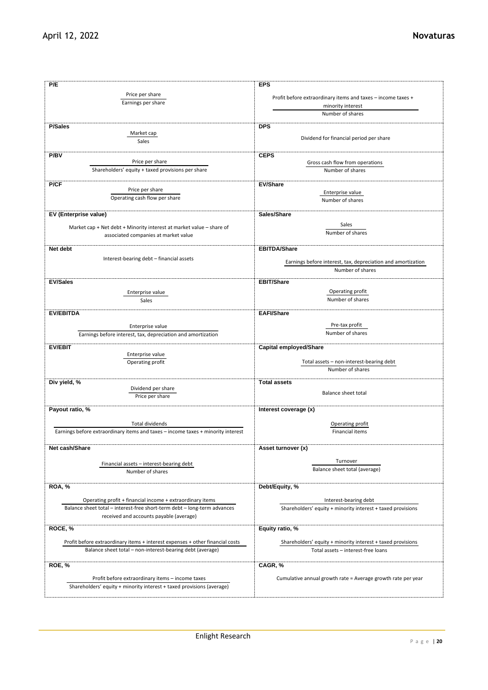| P/E                                                                              | <b>EPS</b>                                                   |
|----------------------------------------------------------------------------------|--------------------------------------------------------------|
| Price per share                                                                  |                                                              |
| Earnings per share                                                               | Profit before extraordinary items and taxes - income taxes + |
|                                                                                  | minority interest                                            |
|                                                                                  | Number of shares                                             |
|                                                                                  |                                                              |
| <b>P/Sales</b>                                                                   | <b>DPS</b>                                                   |
| Market cap                                                                       | Dividend for financial period per share                      |
| Sales                                                                            |                                                              |
|                                                                                  |                                                              |
| <b>P/BV</b>                                                                      | <b>CEPS</b>                                                  |
| Price per share                                                                  | Gross cash flow from operations                              |
| Shareholders' equity + taxed provisions per share                                | Number of shares                                             |
|                                                                                  |                                                              |
| P/CF<br>Price per share                                                          | <b>EV/Share</b>                                              |
|                                                                                  | Enterprise value                                             |
| Operating cash flow per share                                                    | Number of shares                                             |
|                                                                                  |                                                              |
| EV (Enterprise value)                                                            | Sales/Share                                                  |
|                                                                                  | Sales                                                        |
| Market cap + Net debt + Minority interest at market value - share of             | Number of shares                                             |
| associated companies at market value                                             |                                                              |
|                                                                                  |                                                              |
| Net debt                                                                         | <b>EBITDA/Share</b>                                          |
| Interest-bearing debt - financial assets                                         |                                                              |
|                                                                                  | Earnings before interest, tax, depreciation and amortization |
|                                                                                  | Number of shares                                             |
| <b>EV/Sales</b>                                                                  | <b>EBIT/Share</b>                                            |
|                                                                                  |                                                              |
| Enterprise value                                                                 | Operating profit                                             |
| Sales                                                                            | Number of shares                                             |
|                                                                                  |                                                              |
| <b>EV/EBITDA</b>                                                                 | <b>EAFI/Share</b>                                            |
|                                                                                  | Pre-tax profit                                               |
| Enterprise value                                                                 | Number of shares                                             |
| Earnings before interest, tax, depreciation and amortization                     |                                                              |
| <b>EV/EBIT</b>                                                                   | <b>Capital employed/Share</b>                                |
| Enterprise value                                                                 |                                                              |
|                                                                                  | Total assets - non-interest-bearing debt                     |
| Operating profit                                                                 | Number of shares                                             |
|                                                                                  |                                                              |
| Div yield, %                                                                     | <b>Total assets</b>                                          |
| Dividend per share                                                               |                                                              |
| Price per share                                                                  | <b>Balance sheet total</b>                                   |
|                                                                                  |                                                              |
| Payout ratio, %                                                                  | Interest coverage (x)                                        |
|                                                                                  |                                                              |
| Total dividends                                                                  | Operating profit                                             |
| Earnings before extraordinary items and taxes - income taxes + minority interest | <b>Financial items</b>                                       |
|                                                                                  |                                                              |
| Net cash/Share                                                                   | Asset turnover (x)                                           |
|                                                                                  |                                                              |
|                                                                                  | Turnover                                                     |
| Financial assets - interest-bearing debt                                         | Balance sheet total (average)                                |
| Number of shares                                                                 |                                                              |
|                                                                                  |                                                              |
| <b>ROA, %</b>                                                                    | Debt/Equity, %                                               |
|                                                                                  |                                                              |
| Operating profit + financial income + extraordinary items                        | Interest-bearing debt                                        |
| Balance sheet total - interest-free short-term debt - long-term advances         | Shareholders' equity + minority interest + taxed provisions  |
| received and accounts payable (average)                                          |                                                              |
|                                                                                  |                                                              |
| ROCE, %                                                                          | Equity ratio, %                                              |
| Profit before extraordinary items + interest expenses + other financial costs    |                                                              |
|                                                                                  | Shareholders' equity + minority interest + taxed provisions  |
| Balance sheet total - non-interest-bearing debt (average)                        | Total assets - interest-free loans                           |
|                                                                                  |                                                              |
| ROE, %                                                                           | CAGR, %                                                      |
|                                                                                  |                                                              |
| Profit before extraordinary items - income taxes                                 | Cumulative annual growth rate = Average growth rate per year |
| Shareholders' equity + minority interest + taxed provisions (average)            |                                                              |
|                                                                                  |                                                              |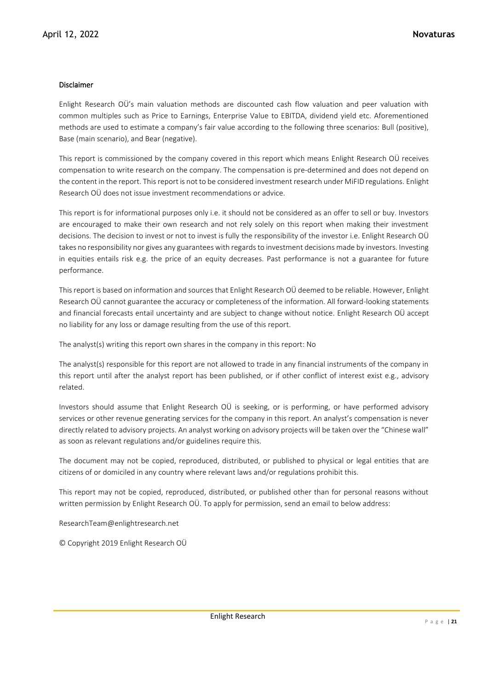## Disclaimer

Enlight Research OÜ's main valuation methods are discounted cash flow valuation and peer valuation with common multiples such as Price to Earnings, Enterprise Value to EBITDA, dividend yield etc. Aforementioned methods are used to estimate a company's fair value according to the following three scenarios: Bull (positive), Base (main scenario), and Bear (negative).

This report is commissioned by the company covered in this report which means Enlight Research OÜ receives compensation to write research on the company. The compensation is pre-determined and does not depend on the content in the report. This report is not to be considered investment research under MiFID regulations. Enlight Research OÜ does not issue investment recommendations or advice.

This report is for informational purposes only i.e. it should not be considered as an offer to sell or buy. Investors are encouraged to make their own research and not rely solely on this report when making their investment decisions. The decision to invest or not to invest is fully the responsibility of the investor i.e. Enlight Research OÜ takes no responsibility nor gives any guarantees with regards to investment decisions made by investors. Investing in equities entails risk e.g. the price of an equity decreases. Past performance is not a guarantee for future performance.

This report is based on information and sources that Enlight Research OÜ deemed to be reliable. However, Enlight Research OÜ cannot guarantee the accuracy or completeness of the information. All forward-looking statements and financial forecasts entail uncertainty and are subject to change without notice. Enlight Research OÜ accept no liability for any loss or damage resulting from the use of this report.

The analyst(s) writing this report own shares in the company in this report: No

The analyst(s) responsible for this report are not allowed to trade in any financial instruments of the company in this report until after the analyst report has been published, or if other conflict of interest exist e.g., advisory related.

Investors should assume that Enlight Research OÜ is seeking, or is performing, or have performed advisory services or other revenue generating services for the company in this report. An analyst's compensation is never directly related to advisory projects. An analyst working on advisory projects will be taken over the "Chinese wall" as soon as relevant regulations and/or guidelines require this.

The document may not be copied, reproduced, distributed, or published to physical or legal entities that are citizens of or domiciled in any country where relevant laws and/or regulations prohibit this.

This report may not be copied, reproduced, distributed, or published other than for personal reasons without written permission by Enlight Research OÜ. To apply for permission, send an email to below address:

ResearchTeam@enlightresearch.net

© Copyright 2019 Enlight Research OÜ